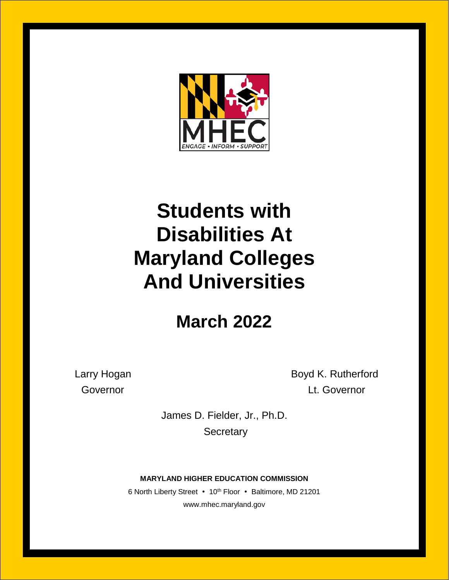

# **Students with Disabilities At Maryland Colleges And Universities**

## **March 2022**

Larry Hogan **Boyd K. Rutherford** Governor **Contact Covernor** Lt. Governor

> James D. Fielder, Jr., Ph.D. **Secretary**

**MARYLAND HIGHER EDUCATION COMMISSION**

6 North Liberty Street • 10<sup>th</sup> Floor • Baltimore, MD 21201 www.mhec.maryland.gov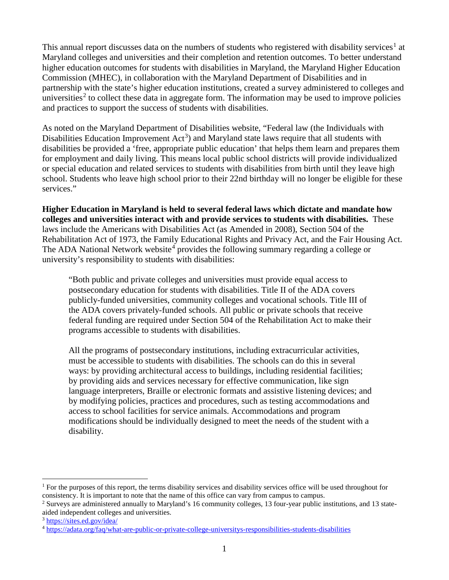This annual report discusses data on the numbers of students who registered with disability services<sup>[1](#page-1-0)</sup> at Maryland colleges and universities and their completion and retention outcomes. To better understand higher education outcomes for students with disabilities in Maryland, the Maryland Higher Education Commission (MHEC), in collaboration with the Maryland Department of Disabilities and in partnership with the state's higher education institutions, created a survey administered to colleges and universities<sup>[2](#page-1-1)</sup> to collect these data in aggregate form. The information may be used to improve policies and practices to support the success of students with disabilities.

As noted on the Maryland Department of Disabilities website, "Federal law (the Individuals with Disabilities Education Improvement  $Act^3$  $Act^3$ ) and Maryland state laws require that all students with disabilities be provided a 'free, appropriate public education' that helps them learn and prepares them for employment and daily living. This means local public school districts will provide individualized or special education and related services to students with disabilities from birth until they leave high school. Students who leave high school prior to their 22nd birthday will no longer be eligible for these services."

**Higher Education in Maryland is held to several federal laws which dictate and mandate how colleges and universities interact with and provide services to students with disabilities.** These laws include the Americans with Disabilities Act (as Amended in 2008), Section 504 of the Rehabilitation Act of 1973, the Family Educational Rights and Privacy Act, and the Fair Housing Act. The ADA National Network website<sup>[4](#page-1-3)</sup> provides the following summary regarding a college or university's responsibility to students with disabilities:

"Both public and private colleges and universities must provide equal access to postsecondary education for students with disabilities. Title II of the ADA covers publicly-funded universities, community colleges and vocational schools. Title III of the ADA covers privately-funded schools. All public or private schools that receive federal funding are required under Section 504 of the Rehabilitation Act to make their programs accessible to students with disabilities.

All the programs of postsecondary institutions, including extracurricular activities, must be accessible to students with disabilities. The schools can do this in several ways: by providing architectural access to buildings, including residential facilities; by providing aids and services necessary for effective communication, like sign language interpreters, Braille or electronic formats and assistive listening devices; and by modifying policies, practices and procedures, such as testing accommodations and access to school facilities for service animals. Accommodations and program modifications should be individually designed to meet the needs of the student with a disability.

<span id="page-1-0"></span><sup>&</sup>lt;sup>1</sup> For the purposes of this report, the terms disability services and disability services office will be used throughout for consistency. It is important to note that the name of this office can vary from campus to campus.

<span id="page-1-1"></span><sup>2</sup> Surveys are administered annually to Maryland's 16 community colleges, 13 four-year public institutions, and 13 stateaided independent colleges and universities. 3 <https://sites.ed.gov/idea/>

<span id="page-1-2"></span>

<span id="page-1-3"></span><sup>4</sup> <https://adata.org/faq/what-are-public-or-private-college-universitys-responsibilities-students-disabilities>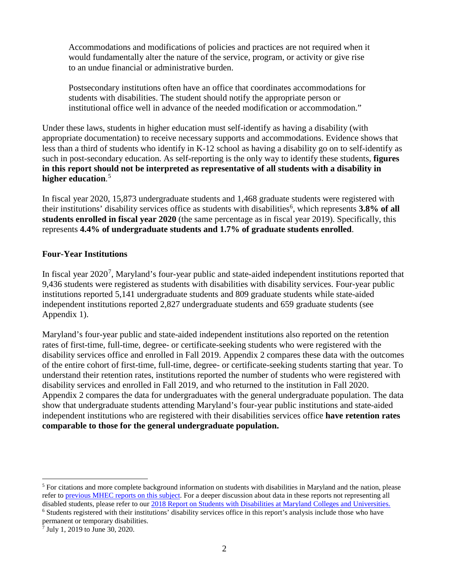Accommodations and modifications of policies and practices are not required when it would fundamentally alter the nature of the service, program, or activity or give rise to an undue financial or administrative burden.

Postsecondary institutions often have an office that coordinates accommodations for students with disabilities. The student should notify the appropriate person or institutional office well in advance of the needed modification or accommodation."

Under these laws, students in higher education must self-identify as having a disability (with appropriate documentation) to receive necessary supports and accommodations. Evidence shows that less than a third of students who identify in K-12 school as having a disability go on to self-identify as such in post-secondary education. As self-reporting is the only way to identify these students, **figures in this report should not be interpreted as representative of all students with a disability in higher education**. [5](#page-2-0)

In fiscal year 2020, 15,873 undergraduate students and 1,468 graduate students were registered with their institutions' disability services office as students with disabilities<sup>[6](#page-2-1)</sup>, which represents 3.8% of all **students enrolled in fiscal year 2020** (the same percentage as in fiscal year 2019). Specifically, this represents **4.4% of undergraduate students and 1.7% of graduate students enrolled**.

#### **Four-Year Institutions**

In fiscal year 2020<sup>[7](#page-2-2)</sup>, Maryland's four-year public and state-aided independent institutions reported that 9,436 students were registered as students with disabilities with disability services. Four-year public institutions reported 5,141 undergraduate students and 809 graduate students while state-aided independent institutions reported 2,827 undergraduate students and 659 graduate students (see Appendix 1).

Maryland's four-year public and state-aided independent institutions also reported on the retention rates of first-time, full-time, degree- or certificate-seeking students who were registered with the disability services office and enrolled in Fall 2019. Appendix 2 compares these data with the outcomes of the entire cohort of first-time, full-time, degree- or certificate-seeking students starting that year. To understand their retention rates, institutions reported the number of students who were registered with disability services and enrolled in Fall 2019, and who returned to the institution in Fall 2020. Appendix 2 compares the data for undergraduates with the general undergraduate population. The data show that undergraduate students attending Maryland's four-year public institutions and state-aided independent institutions who are registered with their disabilities services office **have retention rates comparable to those for the general undergraduate population.**

<span id="page-2-0"></span> $<sup>5</sup>$  For citations and more complete background information on students with disabilities in Maryland and the nation, please</sup> refer to [previous MHEC reports on this subject.](https://mhec.maryland.gov/publications) For a deeper discussion about data in these reports not representing all disabled students, please refer to our [2018 Report on Students with Disabilities](https://mhec.maryland.gov/publications/Documents/Research/AnnualReports/2018ReportonStudentswithDisabilities.pdf) at Maryland Colleges and Universities.

<span id="page-2-1"></span><sup>&</sup>lt;sup>6</sup> Students registered with their institutions' disability services office in this report's analysis include those who have permanent or temporary disabilities.

<span id="page-2-2"></span> $7$  July 1, 2019 to June 30, 2020.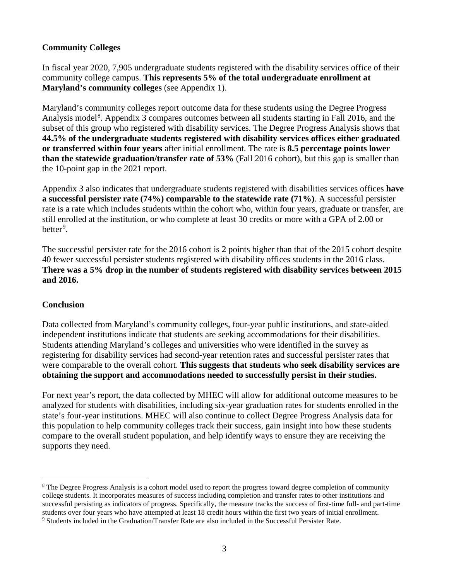#### **Community Colleges**

In fiscal year 2020, 7,905 undergraduate students registered with the disability services office of their community college campus. **This represents 5% of the total undergraduate enrollment at Maryland's community colleges** (see Appendix 1).

Maryland's community colleges report outcome data for these students using the Degree Progress Analysis model<sup>[8](#page-3-0)</sup>. Appendix 3 compares outcomes between all students starting in Fall 2016, and the subset of this group who registered with disability services. The Degree Progress Analysis shows that **44.5% of the undergraduate students registered with disability services offices either graduated or transferred within four years** after initial enrollment. The rate is **8.5 percentage points lower than the statewide graduation/transfer rate of 53%** (Fall 2016 cohort), but this gap is smaller than the 10-point gap in the 2021 report.

Appendix 3 also indicates that undergraduate students registered with disabilities services offices **have a successful persister rate (74%) comparable to the statewide rate (71%)**. A successful persister rate is a rate which includes students within the cohort who, within four years, graduate or transfer, are still enrolled at the institution, or who complete at least 30 credits or more with a GPA of 2.00 or better<sup>[9](#page-3-1)</sup>.

The successful persister rate for the 2016 cohort is 2 points higher than that of the 2015 cohort despite 40 fewer successful persister students registered with disability offices students in the 2016 class. **There was a 5% drop in the number of students registered with disability services between 2015 and 2016.**

#### **Conclusion**

Data collected from Maryland's community colleges, four-year public institutions, and state-aided independent institutions indicate that students are seeking accommodations for their disabilities. Students attending Maryland's colleges and universities who were identified in the survey as registering for disability services had second-year retention rates and successful persister rates that were comparable to the overall cohort. **This suggests that students who seek disability services are obtaining the support and accommodations needed to successfully persist in their studies.**

For next year's report, the data collected by MHEC will allow for additional outcome measures to be analyzed for students with disabilities, including six-year graduation rates for students enrolled in the state's four-year institutions. MHEC will also continue to collect Degree Progress Analysis data for this population to help community colleges track their success, gain insight into how these students compare to the overall student population, and help identify ways to ensure they are receiving the supports they need.

<span id="page-3-0"></span><sup>&</sup>lt;sup>8</sup> The Degree Progress Analysis is a cohort model used to report the progress toward degree completion of community college students. It incorporates measures of success including completion and transfer rates to other institutions and successful persisting as indicators of progress. Specifically, the measure tracks the success of first-time full- and part-time students over four years who have attempted at least 18 credit hours within the first two years of initial enrollment.

<span id="page-3-1"></span><sup>9</sup> Students included in the Graduation/Transfer Rate are also included in the Successful Persister Rate.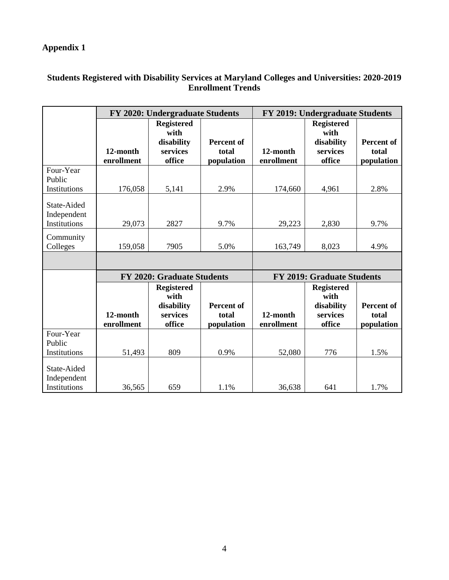### **Appendix 1**

#### **Students Registered with Disability Services at Maryland Colleges and Universities: 2020-2019 Enrollment Trends**

|                                            |                                                                                         | <b>FY 2020: Undergraduate Students</b>                        |                                          | FY 2019: Undergraduate Students   |                                                               |                                          |  |  |
|--------------------------------------------|-----------------------------------------------------------------------------------------|---------------------------------------------------------------|------------------------------------------|-----------------------------------|---------------------------------------------------------------|------------------------------------------|--|--|
|                                            | 12-month<br>enrollment                                                                  | <b>Registered</b><br>with<br>disability<br>services<br>office | <b>Percent of</b><br>total<br>population | 12-month<br>enrollment            | <b>Registered</b><br>with<br>disability<br>services<br>office | <b>Percent of</b><br>total<br>population |  |  |
| Four-Year<br>Public<br>Institutions        | 176,058                                                                                 | 5,141                                                         | 2.9%                                     | 174,660                           | 4,961                                                         | 2.8%                                     |  |  |
| State-Aided<br>Independent<br>Institutions | 29,073                                                                                  | 2827                                                          | 9.7%                                     | 29,223                            | 2,830                                                         | 9.7%                                     |  |  |
| Community<br>Colleges                      | 159,058                                                                                 | 7905                                                          | 5.0%                                     | 163,749                           | 8,023                                                         | 4.9%                                     |  |  |
|                                            |                                                                                         |                                                               |                                          |                                   |                                                               |                                          |  |  |
|                                            |                                                                                         | <b>FY 2020: Graduate Students</b>                             |                                          | <b>FY 2019: Graduate Students</b> |                                                               |                                          |  |  |
|                                            | <b>Registered</b><br>with<br>disability<br>12-month<br>services<br>office<br>enrollment |                                                               | <b>Percent of</b><br>total<br>population | 12-month<br>enrollment            | <b>Registered</b><br>with<br>disability<br>services<br>office | <b>Percent of</b><br>total<br>population |  |  |
| Four-Year<br>Public<br>Institutions        | 51,493                                                                                  | 809                                                           | 0.9%                                     | 52,080                            | 776                                                           | 1.5%                                     |  |  |
| State-Aided<br>Independent<br>Institutions | 36,565                                                                                  | 659                                                           | 1.1%                                     | 36,638                            | 641                                                           | 1.7%                                     |  |  |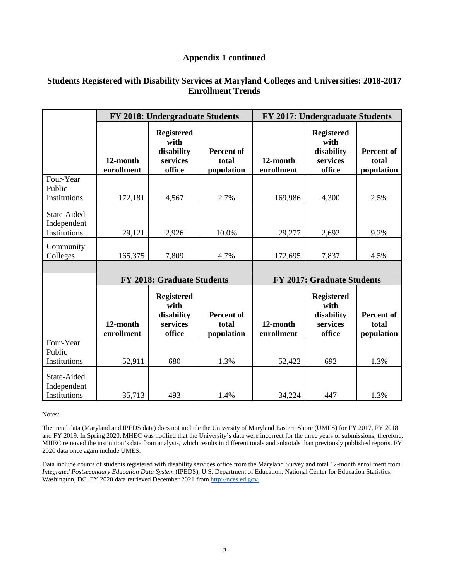#### **Appendix 1 continued**

#### **Students Registered with Disability Services at Maryland Colleges and Universities: 2018-2017 Enrollment Trends**

|                                            |                                                                                         | FY 2018: Undergraduate Students                               |                                          | FY 2017: Undergraduate Students   |                                                               |                                          |  |  |
|--------------------------------------------|-----------------------------------------------------------------------------------------|---------------------------------------------------------------|------------------------------------------|-----------------------------------|---------------------------------------------------------------|------------------------------------------|--|--|
|                                            | 12-month<br>enrollment                                                                  | <b>Registered</b><br>with<br>disability<br>services<br>office | <b>Percent of</b><br>total<br>population | 12-month<br>enrollment            | <b>Registered</b><br>with<br>disability<br>services<br>office | <b>Percent of</b><br>total<br>population |  |  |
| Four-Year<br>Public<br>Institutions        | 172,181                                                                                 | 4,567                                                         | 2.7%                                     | 169,986                           | 4,300                                                         | 2.5%                                     |  |  |
| State-Aided<br>Independent<br>Institutions | 29,121                                                                                  | 2,926                                                         | 10.0%                                    | 29,277                            | 2,692                                                         | 9.2%                                     |  |  |
| Community<br>Colleges                      | 165,375                                                                                 | 7,809                                                         | 4.7%                                     | 172,695                           | 7,837                                                         | 4.5%                                     |  |  |
|                                            |                                                                                         |                                                               |                                          |                                   |                                                               |                                          |  |  |
|                                            |                                                                                         | <b>FY 2018: Graduate Students</b>                             |                                          | <b>FY 2017: Graduate Students</b> |                                                               |                                          |  |  |
|                                            | <b>Registered</b><br>with<br>disability<br>12-month<br>services<br>enrollment<br>office |                                                               | <b>Percent of</b><br>total<br>population | 12-month<br>enrollment            | <b>Registered</b><br>with<br>disability<br>services<br>office |                                          |  |  |
| Four-Year<br>Public<br>Institutions        | 52,911                                                                                  | 680                                                           | 1.3%                                     | 52,422                            | 692                                                           | 1.3%                                     |  |  |
| State-Aided<br>Independent<br>Institutions | 35,713                                                                                  | 493                                                           | 1.4%                                     | 34,224                            | 447                                                           | 1.3%                                     |  |  |

Notes:

The trend data (Maryland and IPEDS data) does not include the University of Maryland Eastern Shore (UMES) for FY 2017, FY 2018 and FY 2019. In Spring 2020, MHEC was notified that the University's data were incorrect for the three years of submissions; therefore, MHEC removed the institution's data from analysis, which results in different totals and subtotals than previously published reports. FY 2020 data once again include UMES.

Data include counts of students registered with disability services office from the Maryland Survey and total 12-month enrollment from *Integrated Postsecondary Education Data System (IPEDS), U.S. Department of Education. National Center for Education Statistics.* Washington, DC. FY 2020 data retrieved December 2021 from http://nces.ed.gov.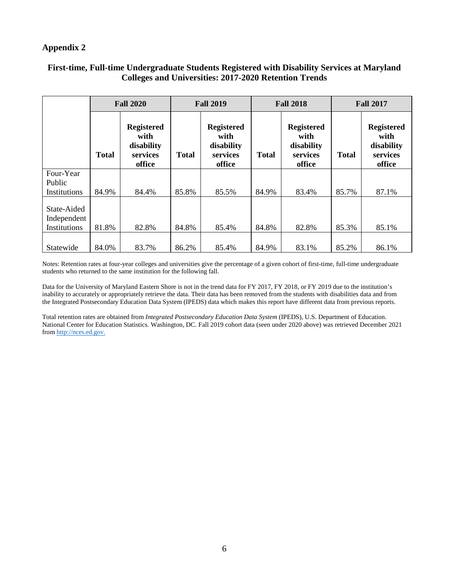#### **Appendix 2**

|                                            | <b>Fall 2020</b> |                                                               | <b>Fall 2019</b> |                                                               | <b>Fall 2018</b> |                                                               | <b>Fall 2017</b> |                                                               |
|--------------------------------------------|------------------|---------------------------------------------------------------|------------------|---------------------------------------------------------------|------------------|---------------------------------------------------------------|------------------|---------------------------------------------------------------|
| <b>Total</b>                               |                  | <b>Registered</b><br>with<br>disability<br>services<br>office | <b>Total</b>     | <b>Registered</b><br>with<br>disability<br>services<br>office | <b>Total</b>     | <b>Registered</b><br>with<br>disability<br>services<br>office | <b>Total</b>     | <b>Registered</b><br>with<br>disability<br>services<br>office |
| Four-Year<br>Public<br>Institutions        | 84.9%            | 84.4%                                                         | 85.8%            | 85.5%                                                         | 84.9%            | 83.4%                                                         | 85.7%            | 87.1%                                                         |
| State-Aided<br>Independent<br>Institutions | 81.8%            | 82.8%                                                         | 84.8%            | 85.4%                                                         | 84.8%            | 82.8%                                                         | 85.3%            | 85.1%                                                         |
| Statewide                                  | 84.0%            | 83.7%                                                         | 86.2%            | 85.4%                                                         | 84.9%            | 83.1%                                                         | 85.2%            | 86.1%                                                         |

#### **First-time, Full-time Undergraduate Students Registered with Disability Services at Maryland Colleges and Universities: 2017-2020 Retention Trends**

Notes: Retention rates at four-year colleges and universities give the percentage of a given cohort of first-time, full-time undergraduate students who returned to the same institution for the following fall.

Data for the University of Maryland Eastern Shore is not in the trend data for FY 2017, FY 2018, or FY 2019 due to the institution's inability to accurately or appropriately retrieve the data. Their data has been removed from the students with disabilities data and from the Integrated Postsecondary Education Data System (IPEDS) data which makes this report have different data from previous reports.

Total retention rates are obtained from *Integrated Postsecondary Education Data System* (IPEDS), U.S. Department of Education. National Center for Education Statistics. Washington, DC. Fall 2019 cohort data (seen under 2020 above) was retrieved December 2021 from http://nces.ed.gov.